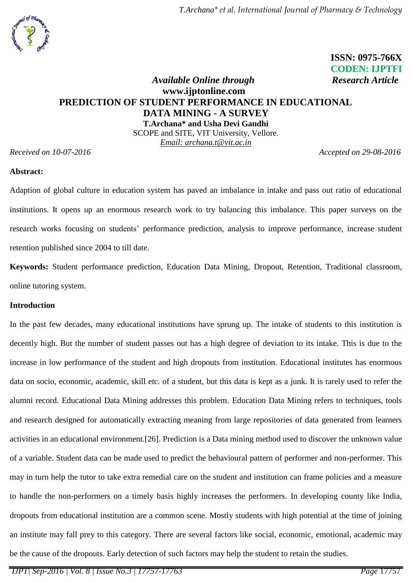*T.Archana\* et al. International Journal of Pharmacy & Technology*

# **ISSN: 0975-766X** **CODEN: IJPTFI**

## *Available Online through* Research Article **www.ijptonline.com PREDICTION OF STUDENT PERFORMANCE IN EDUCATIONAL DATA MINING - A SURVEY T.Archana\* and Usha Devi Gandhi**

SCOPE and SITE, VIT University, Vellore. *Email: archana.t@vit.ac.in*

*Received on 10-07-2016 Accepted on 29-08-2016*

## **Abstract:**

Adaption of global culture in education system has paved an imbalance in intake and pass out ratio of educational institutions. It opens up an enormous research work to try balancing this imbalance. This paper surveys on the research works focusing on students' performance prediction, analysis to improve performance, increase student retention published since 2004 to till date.

**Keywords:** Student performance prediction, Education Data Mining, Dropout, Retention, Traditional classroom, online tutoring system.

#### **Introduction**

In the past few decades, many educational institutions have sprung up. The intake of students to this institution is decently high. But the number of student passes out has a high degree of deviation to its intake. This is due to the increase in low performance of the student and high dropouts from institution. Educational institutes has enormous data on socio, economic, academic, skill etc. of a student, but this data is kept as a junk. It is rarely used to refer the alumni record. Educational Data Mining addresses this problem. Education Data Mining refers to techniques, tools and research designed for automatically extracting meaning from large repositories of data generated from learners activities in an educational environment.[26]. Prediction is a Data mining method used to discover the unknown value of a variable. Student data can be made used to predict the behavioural pattern of performer and non-performer. This may in turn help the tutor to take extra remedial care on the student and institution can frame policies and a measure to handle the non-performers on a timely basis highly increases the performers. In developing county like India, dropouts from educational institution are a common scene. Mostly students with high potential at the time of joining an institute may fall prey to this category. There are several factors like social, economic, emotional, academic may be the cause of the dropouts. Early detection of such factors may help the student to retain the studies.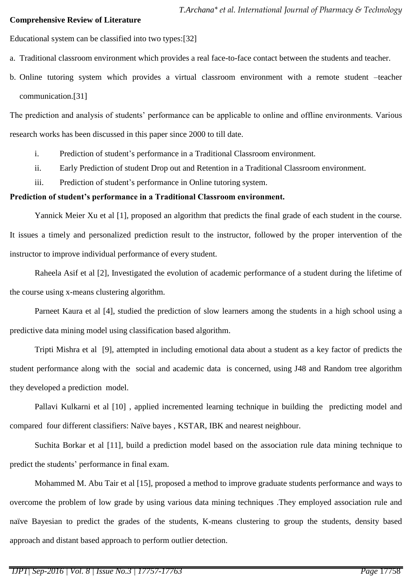#### **Comprehensive Review of Literature**

Educational system can be classified into two types:[32]

- a. Traditional classroom environment which provides a real face-to-face contact between the students and teacher.
- b. Online tutoring system which provides a virtual classroom environment with a remote student –teacher communication.[31]

The prediction and analysis of students' performance can be applicable to online and offline environments. Various research works has been discussed in this paper since 2000 to till date.

- i. Prediction of student's performance in a Traditional Classroom environment.
- ii. Early Prediction of student Drop out and Retention in a Traditional Classroom environment.
- iii. Prediction of student's performance in Online tutoring system.

#### **Prediction of student's performance in a Traditional Classroom environment.**

Yannick Meier Xu et al [1], proposed an algorithm that predicts the final grade of each student in the course. It issues a timely and personalized prediction result to the instructor, followed by the proper intervention of the instructor to improve individual performance of every student.

Raheela Asif et al [2], Investigated the evolution of academic performance of a student during the lifetime of the course using x-means clustering algorithm.

Parneet Kaura et al [4], studied the prediction of slow learners among the students in a high school using a predictive data mining model using classification based algorithm.

Tripti Mishra et al [9], attempted in including emotional data about a student as a key factor of predicts the student performance along with the social and academic data is concerned, using J48 and Random tree algorithm they developed a prediction model.

Pallavi Kulkarni et al [10] , applied incremented learning technique in building the predicting model and compared four different classifiers: Naïve bayes , KSTAR, IBK and nearest neighbour.

Suchita Borkar et al [11], build a prediction model based on the association rule data mining technique to predict the students' performance in final exam.

Mohammed M. Abu Tair et al [15], proposed a method to improve graduate students performance and ways to overcome the problem of low grade by using various data mining techniques .They employed association rule and naïve Bayesian to predict the grades of the students, K-means clustering to group the students, density based approach and distant based approach to perform outlier detection.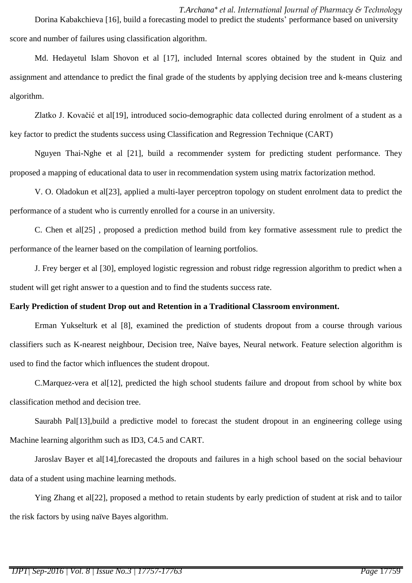*T.Archana\* et al. International Journal of Pharmacy & Technology* Dorina Kabakchieva [16], build a forecasting model to predict the students' performance based on university score and number of failures using classification algorithm.

Md. Hedayetul Islam Shovon et al [17], included Internal scores obtained by the student in Quiz and assignment and attendance to predict the final grade of the students by applying decision tree and k-means clustering algorithm.

Zlatko J. Kovačić et al[19], introduced socio-demographic data collected during enrolment of a student as a key factor to predict the students success using Classification and Regression Technique (CART)

Nguyen Thai-Nghe et al [21], build a recommender system for predicting student performance. They proposed a mapping of educational data to user in recommendation system using matrix factorization method.

V. O. Oladokun et al[23], applied a multi-layer perceptron topology on student enrolment data to predict the performance of a student who is currently enrolled for a course in an university.

C. Chen et al[25] , proposed a prediction method build from key formative assessment rule to predict the performance of the learner based on the compilation of learning portfolios.

J. Frey berger et al [30], employed logistic regression and robust ridge regression algorithm to predict when a student will get right answer to a question and to find the students success rate.

## **Early Prediction of student Drop out and Retention in a Traditional Classroom environment.**

Erman Yukselturk et al [8], examined the prediction of students dropout from a course through various classifiers such as K-nearest neighbour, Decision tree, Naïve bayes, Neural network. Feature selection algorithm is used to find the factor which influences the student dropout.

C.Marquez-vera et al<sup>[12]</sup>, predicted the high school students failure and dropout from school by white box classification method and decision tree.

Saurabh Pal[13],build a predictive model to forecast the student dropout in an engineering college using Machine learning algorithm such as ID3, C4.5 and CART.

Jaroslav Bayer et al[14],forecasted the dropouts and failures in a high school based on the social behaviour data of a student using machine learning methods.

Ying Zhang et al[22], proposed a method to retain students by early prediction of student at risk and to tailor the risk factors by using naïve Bayes algorithm.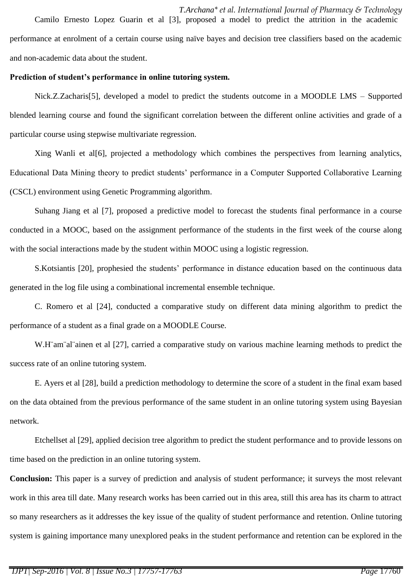*T.Archana\* et al. International Journal of Pharmacy & Technology* Camilo Ernesto Lopez Guarin et al [3], proposed a model to predict the attrition in the academic performance at enrolment of a certain course using naïve bayes and decision tree classifiers based on the academic and non-academic data about the student.

### **Prediction of student's performance in online tutoring system.**

Nick.Z.Zacharis[5], developed a model to predict the students outcome in a MOODLE LMS – Supported blended learning course and found the significant correlation between the different online activities and grade of a particular course using stepwise multivariate regression.

Xing Wanli et al[6], projected a methodology which combines the perspectives from learning analytics, Educational Data Mining theory to predict students' performance in a Computer Supported Collaborative Learning (CSCL) environment using Genetic Programming algorithm.

Suhang Jiang et al [7], proposed a predictive model to forecast the students final performance in a course conducted in a MOOC, based on the assignment performance of the students in the first week of the course along with the social interactions made by the student within MOOC using a logistic regression.

S.Kotsiantis [20], prophesied the students' performance in distance education based on the continuous data generated in the log file using a combinational incremental ensemble technique.

C. Romero et al [24], conducted a comparative study on different data mining algorithm to predict the performance of a student as a final grade on a MOODLE Course.

W.H<sup>"</sup>am"al"ainen et al [27], carried a comparative study on various machine learning methods to predict the success rate of an online tutoring system.

E. Ayers et al [28], build a prediction methodology to determine the score of a student in the final exam based on the data obtained from the previous performance of the same student in an online tutoring system using Bayesian network.

Etchellset al [29], applied decision tree algorithm to predict the student performance and to provide lessons on time based on the prediction in an online tutoring system.

**Conclusion:** This paper is a survey of prediction and analysis of student performance; it surveys the most relevant work in this area till date. Many research works has been carried out in this area, still this area has its charm to attract so many researchers as it addresses the key issue of the quality of student performance and retention. Online tutoring system is gaining importance many unexplored peaks in the student performance and retention can be explored in the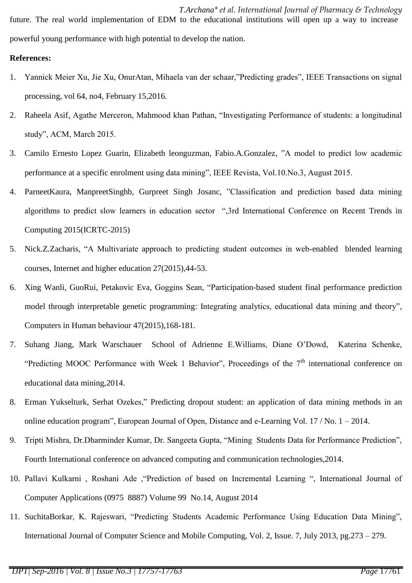*T.Archana\* et al. International Journal of Pharmacy & Technology* future. The real world implementation of EDM to the educational institutions will open up a way to increase powerful young performance with high potential to develop the nation.

## **References:**

- 1. Yannick Meier Xu, Jie Xu, OnurAtan, Mihaela van der schaar,"Predicting grades", IEEE Transactions on signal processing, vol 64, no4, February 15,2016.
- 2. Raheela Asif, Agathe Merceron, Mahmood khan Pathan, "Investigating Performance of students: a longitudinal study", ACM, March 2015.
- 3. Camilo Ernesto Lopez Guarin, Elizabeth leonguzman, Fabio.A.Gonzalez, "A model to predict low academic performance at a specific enrolment using data mining", IEEE Revista, Vol.10.No.3, August 2015.
- 4. ParneetKaura, ManpreetSinghb, Gurpreet Singh Josanc, "Classification and prediction based data mining algorithms to predict slow learners in education sector ",3rd International Conference on Recent Trends in Computing 2015(ICRTC-2015)
- 5. Nick.Z.Zacharis, "A Multivariate approach to predicting student outcomes in web-enabled blended learning courses, Internet and higher education 27(2015),44-53.
- 6. Xing Wanli, GuoRui, Petakovic Eva, Goggins Sean, "Participation-based student final performance prediction model through interpretable genetic programming: Integrating analytics, educational data mining and theory", Computers in Human behaviour 47(2015),168-181.
- 7. Suhang Jiang, Mark Warschauer School of Adrienne E.Williams, Diane O'Dowd, Katerina Schenke, "Predicting MOOC Performance with Week 1 Behavior", Proceedings of the  $7<sup>th</sup>$  international conference on educational data mining,2014.
- 8. Erman Yukselturk, Serhat Ozekes," Predicting dropout student: an application of data mining methods in an online education program", European Journal of Open, Distance and e-Learning Vol. 17 / No. 1 – 2014.
- 9. Tripti Mishra, Dr.Dharminder Kumar, Dr. Sangeeta Gupta, "Mining Students Data for Performance Prediction", Fourth International conference on advanced computing and communication technologies,2014.
- 10. Pallavi Kulkarni , Roshani Ade ,"Prediction of based on Incremental Learning ", International Journal of Computer Applications (0975 8887) Volume 99 No.14, August 2014
- 11. SuchitaBorkar, K. Rajeswari, "Predicting Students Academic Performance Using Education Data Mining", International Journal of Computer Science and Mobile Computing, Vol. 2, Issue. 7, July 2013, pg.273 – 279.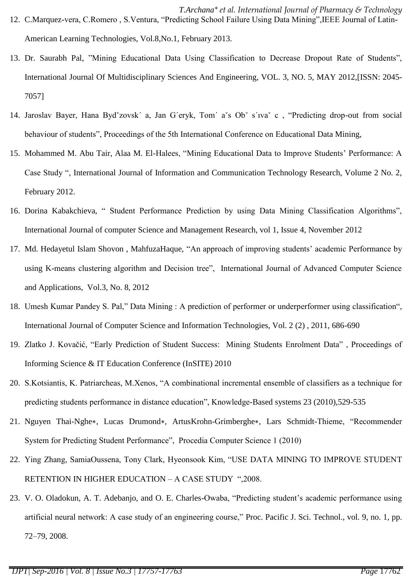- *T.Archana\* et al. International Journal of Pharmacy & Technology* 12. C.Marquez-vera, C.Romero , S.Ventura, "Predicting School Failure Using Data Mining",IEEE Journal of Latin-American Learning Technologies, Vol.8,No.1, February 2013.
- 13. Dr. Saurabh Pal, "Mining Educational Data Using Classification to Decrease Dropout Rate of Students", International Journal Of Multidisciplinary Sciences And Engineering, VOL. 3, NO. 5, MAY 2012,[ISSN: 2045- 7057]
- 14. Jaroslav Bayer, Hana Bydˇzovsk´ a, Jan G´eryk, Tom´ aˇs Obˇ s´ıvaˇ c , "Predicting drop-out from social behaviour of students", Proceedings of the 5th International Conference on Educational Data Mining,
- 15. Mohammed M. Abu Tair, Alaa M. El-Halees, "Mining Educational Data to Improve Students' Performance: A Case Study ", International Journal of Information and Communication Technology Research, Volume 2 No. 2, February 2012.
- 16. Dorina Kabakchieva, " Student Performance Prediction by using Data Mining Classification Algorithms", International Journal of computer Science and Management Research, vol 1, Issue 4, November 2012
- 17. Md. Hedayetul Islam Shovon , MahfuzaHaque, "An approach of improving students' academic Performance by using K-means clustering algorithm and Decision tree", International Journal of Advanced Computer Science and Applications, Vol.3, No. 8, 2012
- 18. Umesh Kumar Pandey S. Pal," Data Mining : A prediction of performer or underperformer using classification", International Journal of Computer Science and Information Technologies, Vol. 2 (2) , 2011, 686-690
- 19. Zlatko J. Kovačić, "Early Prediction of Student Success: Mining Students Enrolment Data" , Proceedings of Informing Science & IT Education Conference (InSITE) 2010
- 20. S.Kotsiantis, K. Patriarcheas, M.Xenos, "A combinational incremental ensemble of classifiers as a technique for predicting students performance in distance education", Knowledge-Based systems 23 (2010),529-535
- 21. Nguyen Thai-Nghe∗, Lucas Drumond∗, ArtusKrohn-Grimberghe∗, Lars Schmidt-Thieme, "Recommender System for Predicting Student Performance", Procedia Computer Science 1 (2010)
- 22. Ying Zhang, SamiaOussena, Tony Clark, Hyeonsook Kim, "USE DATA MINING TO IMPROVE STUDENT RETENTION IN HIGHER EDUCATION – A CASE STUDY ",2008.
- 23. V. O. Oladokun, A. T. Adebanjo, and O. E. Charles-Owaba, "Predicting student's academic performance using artificial neural network: A case study of an engineering course," Proc. Pacific J. Sci. Technol., vol. 9, no. 1, pp. 72–79, 2008.